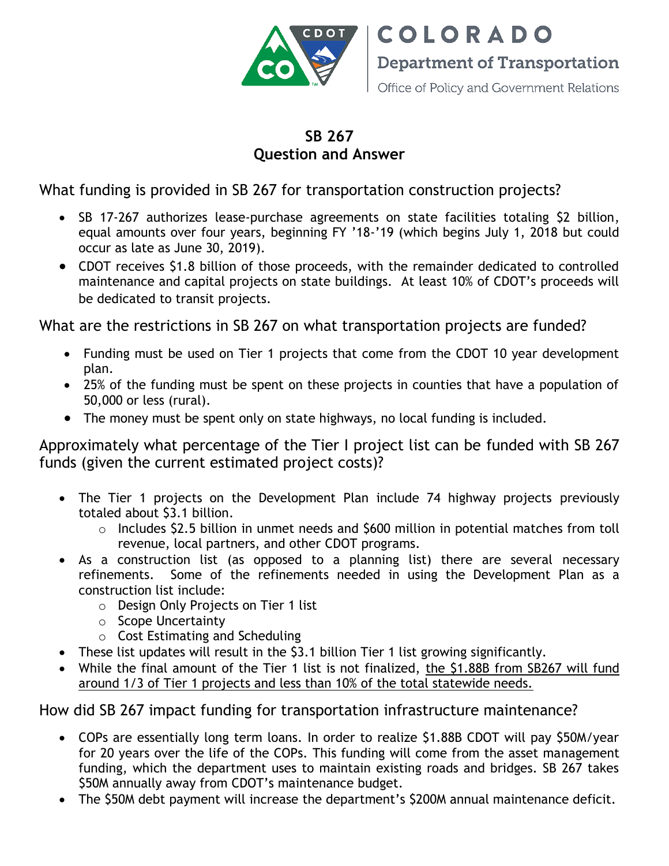

**COLORADO Department of Transportation** 

Office of Policy and Government Relations

## **SB 267 Question and Answer**

What funding is provided in SB 267 for transportation construction projects?

- SB 17-267 authorizes lease-purchase agreements on state facilities totaling \$2 billion, equal amounts over four years, beginning FY '18-'19 (which begins July 1, 2018 but could occur as late as June 30, 2019).
- CDOT receives \$1.8 billion of those proceeds, with the remainder dedicated to controlled maintenance and capital projects on state buildings. At least 10% of CDOT's proceeds will be dedicated to transit projects.

What are the restrictions in SB 267 on what transportation projects are funded?

- Funding must be used on Tier 1 projects that come from the CDOT 10 year development plan.
- 25% of the funding must be spent on these projects in counties that have a population of 50,000 or less (rural).
- The money must be spent only on state highways, no local funding is included.

Approximately what percentage of the Tier I project list can be funded with SB 267 funds (given the current estimated project costs)?

- The Tier 1 projects on the Development Plan include 74 highway projects previously totaled about \$3.1 billion.
	- o Includes \$2.5 billion in unmet needs and \$600 million in potential matches from toll revenue, local partners, and other CDOT programs.
- As a construction list (as opposed to a planning list) there are several necessary refinements. Some of the refinements needed in using the Development Plan as a construction list include:
	- o Design Only Projects on Tier 1 list
	- o Scope Uncertainty
	- o Cost Estimating and Scheduling
- These list updates will result in the \$3.1 billion Tier 1 list growing significantly.
- While the final amount of the Tier 1 list is not finalized, the \$1.88B from SB267 will fund around 1/3 of Tier 1 projects and less than 10% of the total statewide needs.

How did SB 267 impact funding for transportation infrastructure maintenance?

- COPs are essentially long term loans. In order to realize \$1.88B CDOT will pay \$50M/year for 20 years over the life of the COPs. This funding will come from the asset management funding, which the department uses to maintain existing roads and bridges. SB 267 takes \$50M annually away from CDOT's maintenance budget.
- The \$50M debt payment will increase the department's \$200M annual maintenance deficit.